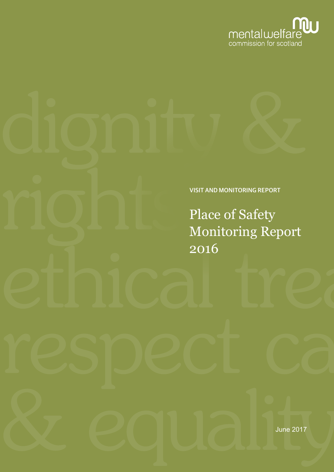

## VISIT AND MONITORING REPORT

Place of Safety Monitoring Report 2016

June 2017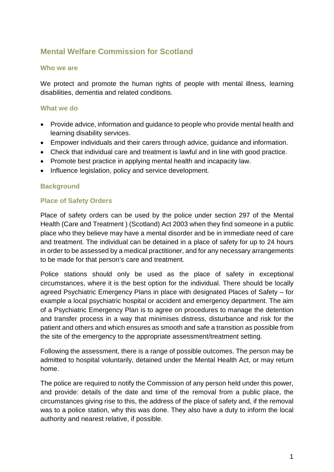## **Mental Welfare Commission for Scotland**

#### **Who we are**

We protect and promote the human rights of people with mental illness, learning disabilities, dementia and related conditions.

#### **What we do**

- Provide advice, information and guidance to people who provide mental health and learning disability services.
- Empower individuals and their carers through advice, guidance and information.
- Check that individual care and treatment is lawful and in line with good practice.
- Promote best practice in applying mental health and incapacity law.
- Influence legislation, policy and service development.

## **Background**

## **Place of Safety Orders**

Place of safety orders can be used by the police under section 297 of the Mental Health (Care and Treatment ) (Scotland) Act 2003 when they find someone in a public place who they believe may have a mental disorder and be in immediate need of care and treatment. The individual can be detained in a place of safety for up to 24 hours in order to be assessed by a medical practitioner, and for any necessary arrangements to be made for that person's care and treatment.

Police stations should only be used as the place of safety in exceptional circumstances, where it is the best option for the individual. There should be locally agreed Psychiatric Emergency Plans in place with designated Places of Safety – for example a local psychiatric hospital or accident and emergency department. The aim of a Psychiatric Emergency Plan is to agree on procedures to manage the detention and transfer process in a way that minimises distress, disturbance and risk for the patient and others and which ensures as smooth and safe a transition as possible from the site of the emergency to the appropriate assessment/treatment setting.

Following the assessment, there is a range of possible outcomes. The person may be admitted to hospital voluntarily, detained under the Mental Health Act, or may return home.

The police are required to notify the Commission of any person held under this power, and provide: details of the date and time of the removal from a public place, the circumstances giving rise to this, the address of the place of safety and, if the removal was to a police station, why this was done. They also have a duty to inform the local authority and nearest relative, if possible.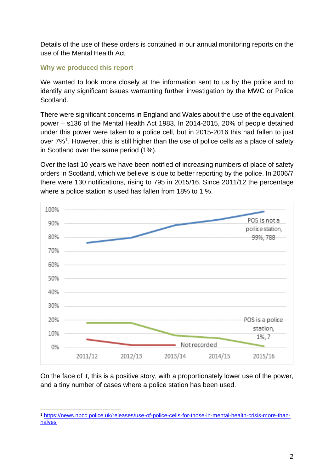Details of the use of these orders is contained in our annual monitoring reports on the use of the Mental Health Act.

#### **Why we produced this report**

We wanted to look more closely at the information sent to us by the police and to identify any significant issues warranting further investigation by the MWC or Police Scotland.

There were significant concerns in England and Wales about the use of the equivalent power – s136 of the Mental Health Act 1983. In 2014-2015, 20% of people detained under this power were taken to a police cell, but in 2015-2016 this had fallen to just over 7%[1](#page-3-0). However, this is still higher than the use of police cells as a place of safety in Scotland over the same period (1%).

Over the last 10 years we have been notified of increasing numbers of place of safety orders in Scotland, which we believe is due to better reporting by the police. In 2006/7 there were 130 notifications, rising to 795 in 2015/16. Since 2011/12 the percentage where a police station is used has fallen from 18% to 1 %.



On the face of it, this is a positive story, with a proportionately lower use of the power, and a tiny number of cases where a police station has been used.

<span id="page-3-0"></span><sup>1</sup> [https://news.npcc.police.uk/releases/use-of-police-cells-for-those-in-mental-health-crisis-more-than](https://news.npcc.police.uk/releases/use-of-police-cells-for-those-in-mental-health-crisis-more-than-halves)[halves](https://news.npcc.police.uk/releases/use-of-police-cells-for-those-in-mental-health-crisis-more-than-halves)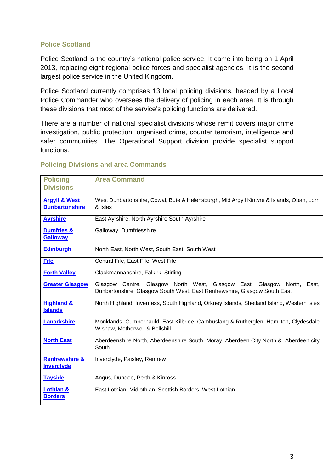## **Police Scotland**

Police Scotland is the country's national police service. It came into being on 1 April 2013, replacing eight regional police forces and specialist agencies. It is the second largest police service in the United Kingdom.

Police Scotland currently comprises 13 local policing divisions, headed by a Local Police Commander who oversees the delivery of policing in each area. It is through these divisions that most of the service's policing functions are delivered.

There are a number of national specialist divisions whose remit covers major crime investigation, public protection, organised crime, counter terrorism, intelligence and safer communities. The Operational Support division provide specialist support functions.

| <b>Policing</b>                                   | <b>Area Command</b>                                                                                                                                    |
|---------------------------------------------------|--------------------------------------------------------------------------------------------------------------------------------------------------------|
| <b>Divisions</b>                                  |                                                                                                                                                        |
| <b>Argyll &amp; West</b><br><b>Dunbartonshire</b> | West Dunbartonshire, Cowal, Bute & Helensburgh, Mid Argyll Kintyre & Islands, Oban, Lorn<br>& Isles                                                    |
| <b>Ayrshire</b>                                   | East Ayrshire, North Ayrshire South Ayrshire                                                                                                           |
| <b>Dumfries &amp;</b><br><b>Galloway</b>          | Galloway, Dumfriesshire                                                                                                                                |
| <b>Edinburgh</b>                                  | North East, North West, South East, South West                                                                                                         |
| <b>Fife</b>                                       | Central Fife, East Fife, West Fife                                                                                                                     |
| <b>Forth Valley</b>                               | Clackmannanshire, Falkirk, Stirling                                                                                                                    |
| <b>Greater Glasgow</b>                            | Glasgow Centre, Glasgow North West, Glasgow East, Glasgow North,<br>East,<br>Dunbartonshire, Glasgow South West, East Renfrewshire, Glasgow South East |
| <b>Highland &amp;</b><br><b>Islands</b>           | North Highland, Inverness, South Highland, Orkney Islands, Shetland Island, Western Isles                                                              |
| <b>Lanarkshire</b>                                | Monklands, Cumbernauld, East Kilbride, Cambuslang & Rutherglen, Hamilton, Clydesdale<br>Wishaw, Motherwell & Bellshill                                 |
| <b>North East</b>                                 | Aberdeenshire North, Aberdeenshire South, Moray, Aberdeen City North & Aberdeen city<br>South                                                          |
| <b>Renfrewshire &amp;</b><br><b>Inverclyde</b>    | Inverclyde, Paisley, Renfrew                                                                                                                           |
| <b>Tayside</b>                                    | Angus, Dundee, Perth & Kinross                                                                                                                         |
| Lothian &<br><b>Borders</b>                       | East Lothian, Midlothian, Scottish Borders, West Lothian                                                                                               |

#### **Policing Divisions and area Commands**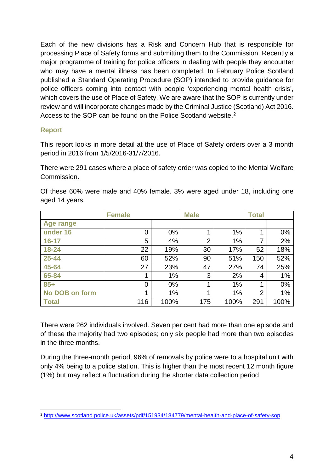Each of the new divisions has a Risk and Concern Hub that is responsible for processing Place of Safety forms and submitting them to the Commission. Recently a major programme of training for police officers in dealing with people they encounter who may have a mental illness has been completed. In February Police Scotland published a Standard Operating Procedure (SOP) intended to provide guidance for police officers coming into contact with people 'experiencing mental health crisis', which covers the use of Place of Safety. We are aware that the SOP is currently under review and will incorporate changes made by the Criminal Justice (Scotland) Act 2016. Access to the SOP can be found on the Police Scotland website.<sup>[2](#page-5-0)</sup>

#### **Report**

This report looks in more detail at the use of Place of Safety orders over a 3 month period in 2016 from 1/5/2016-31/7/2016.

There were 291 cases where a place of safety order was copied to the Mental Welfare Commission.

|                | <b>Female</b> |       | <b>Male</b>    |      | <b>Total</b>   |      |
|----------------|---------------|-------|----------------|------|----------------|------|
| Age range      |               |       |                |      |                |      |
| under 16       | 0             | $0\%$ |                | 1%   |                | 0%   |
| $16 - 17$      | 5             | 4%    | $\overline{2}$ | 1%   | 7              | 2%   |
| 18-24          | 22            | 19%   | 30             | 17%  | 52             | 18%  |
| 25-44          | 60            | 52%   | 90             | 51%  | 150            | 52%  |
| 45-64          | 27            | 23%   | 47             | 27%  | 74             | 25%  |
| 65-84          |               | 1%    | 3              | 2%   | 4              | 1%   |
| $85+$          | 0             | $0\%$ | 1              | 1%   | 1              | 0%   |
| No DOB on form | 1             | 1%    | 1              | 1%   | $\overline{2}$ | 1%   |
| <b>Total</b>   | 116           | 100%  | 175            | 100% | 291            | 100% |

Of these 60% were male and 40% female. 3% were aged under 18, including one aged 14 years.

There were 262 individuals involved. Seven per cent had more than one episode and of these the majority had two episodes; only six people had more than two episodes in the three months.

During the three-month period, 96% of removals by police were to a hospital unit with only 4% being to a police station. This is higher than the most recent 12 month figure (1%) but may reflect a fluctuation during the shorter data collection period

<span id="page-5-0"></span> <sup>2</sup> <http://www.scotland.police.uk/assets/pdf/151934/184779/mental-health-and-place-of-safety-sop>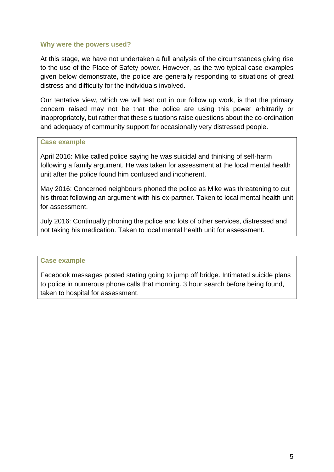#### **Why were the powers used?**

At this stage, we have not undertaken a full analysis of the circumstances giving rise to the use of the Place of Safety power. However, as the two typical case examples given below demonstrate, the police are generally responding to situations of great distress and difficulty for the individuals involved.

Our tentative view, which we will test out in our follow up work, is that the primary concern raised may not be that the police are using this power arbitrarily or inappropriately, but rather that these situations raise questions about the co-ordination and adequacy of community support for occasionally very distressed people.

#### **Case example**

April 2016: Mike called police saying he was suicidal and thinking of self-harm following a family argument. He was taken for assessment at the local mental health unit after the police found him confused and incoherent.

May 2016: Concerned neighbours phoned the police as Mike was threatening to cut his throat following an argument with his ex-partner. Taken to local mental health unit for assessment.

July 2016: Continually phoning the police and lots of other services, distressed and not taking his medication. Taken to local mental health unit for assessment.

#### **Case example**

Facebook messages posted stating going to jump off bridge. Intimated suicide plans to police in numerous phone calls that morning. 3 hour search before being found, taken to hospital for assessment.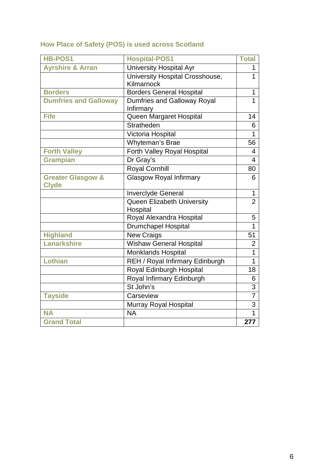# **How Place of Safety (POS) is used across Scotland**

| <b>Hospital-POS1</b>                          | <b>Total</b>                    |
|-----------------------------------------------|---------------------------------|
| <b>University Hospital Ayr</b>                | 1                               |
| University Hospital Crosshouse,<br>Kilmarnock | $\overline{1}$                  |
| <b>Borders General Hospital</b>               | $\mathbf{1}$                    |
| Dumfries and Galloway Royal<br>Infirmary      | 1                               |
| Queen Margaret Hospital                       | 14                              |
| <b>Stratheden</b>                             | 6                               |
| Victoria Hospital                             | $\mathbf{1}$                    |
| Whyteman's Brae                               | 56                              |
| Forth Valley Royal Hospital                   | 4                               |
| Dr Gray's                                     | 4                               |
| <b>Royal Cornhill</b>                         | 80                              |
| <b>Glasgow Royal Infirmary</b>                | 6                               |
| Inverclyde General                            | 1                               |
| Queen Elizabeth University                    | $\overline{2}$                  |
| Royal Alexandra Hospital                      | 5                               |
|                                               | $\mathbf{1}$                    |
| <b>New Craigs</b>                             | 51                              |
| <b>Wishaw General Hospital</b>                | $\overline{2}$                  |
| <b>Monklands Hospital</b>                     | $\overline{1}$                  |
| REH / Royal Infirmary Edinburgh               | $\overline{1}$                  |
| Royal Edinburgh Hospital                      | 18                              |
| Royal Infirmary Edinburgh                     | 6                               |
| St John's                                     | $\overline{3}$                  |
| Carseview                                     | $\overline{7}$                  |
| Murray Royal Hospital                         | $\overline{3}$                  |
| <b>NA</b>                                     | $\overline{1}$                  |
|                                               | 277                             |
|                                               | Hospital<br>Drumchapel Hospital |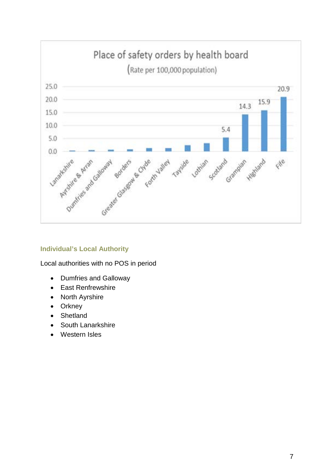

#### **Individual's Local Authority**

Local authorities with no POS in period

- Dumfries and Galloway
- East Renfrewshire
- North Ayrshire
- Orkney
- Shetland
- South Lanarkshire
- Western Isles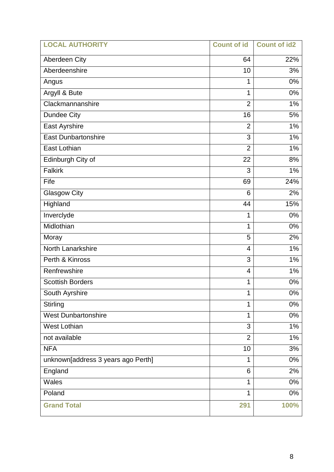| <b>LOCAL AUTHORITY</b>             | <b>Count of id</b> | <b>Count of id2</b> |
|------------------------------------|--------------------|---------------------|
| Aberdeen City                      | 64                 | 22%                 |
| Aberdeenshire                      | 10                 | 3%                  |
| Angus                              | 1                  | 0%                  |
| Argyll & Bute                      | 1                  | 0%                  |
| Clackmannanshire                   | $\overline{2}$     | 1%                  |
| <b>Dundee City</b>                 | 16                 | 5%                  |
| East Ayrshire                      | $\overline{2}$     | 1%                  |
| <b>East Dunbartonshire</b>         | 3                  | 1%                  |
| East Lothian                       | $\overline{2}$     | 1%                  |
| Edinburgh City of                  | 22                 | 8%                  |
| <b>Falkirk</b>                     | 3                  | 1%                  |
| Fife                               | 69                 | 24%                 |
| <b>Glasgow City</b>                | 6                  | 2%                  |
| Highland                           | 44                 | 15%                 |
| Inverclyde                         | 1                  | 0%                  |
| Midlothian                         | $\mathbf 1$        | 0%                  |
| Moray                              | 5                  | 2%                  |
| North Lanarkshire                  | 4                  | 1%                  |
| Perth & Kinross                    | 3                  | 1%                  |
| Renfrewshire                       | 4                  | 1%                  |
| <b>Scottish Borders</b>            | 1                  | 0%                  |
| South Ayrshire                     | 1                  | 0%                  |
| <b>Stirling</b>                    | 1                  | 0%                  |
| <b>West Dunbartonshire</b>         | 1                  | 0%                  |
| <b>West Lothian</b>                | 3                  | 1%                  |
| not available                      | $\overline{2}$     | 1%                  |
| <b>NFA</b>                         | 10                 | 3%                  |
| unknown[address 3 years ago Perth] | 1                  | 0%                  |
| England                            | 6                  | 2%                  |
| Wales                              | 1                  | 0%                  |
| Poland                             | 1                  | 0%                  |
| <b>Grand Total</b>                 | 291                | 100%                |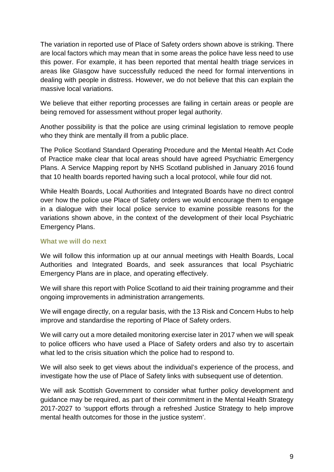The variation in reported use of Place of Safety orders shown above is striking. There are local factors which may mean that in some areas the police have less need to use this power. For example, it has been reported that mental health triage services in areas like Glasgow have successfully reduced the need for formal interventions in dealing with people in distress. However, we do not believe that this can explain the massive local variations.

We believe that either reporting processes are failing in certain areas or people are being removed for assessment without proper legal authority.

Another possibility is that the police are using criminal legislation to remove people who they think are mentally ill from a public place.

The Police Scotland Standard Operating Procedure and the Mental Health Act Code of Practice make clear that local areas should have agreed Psychiatric Emergency Plans. A Service Mapping report by NHS Scotland published in January 2016 found that 10 health boards reported having such a local protocol, while four did not.

While Health Boards, Local Authorities and Integrated Boards have no direct control over how the police use Place of Safety orders we would encourage them to engage in a dialogue with their local police service to examine possible reasons for the variations shown above, in the context of the development of their local Psychiatric Emergency Plans.

#### **What we will do next**

We will follow this information up at our annual meetings with Health Boards, Local Authorities and Integrated Boards, and seek assurances that local Psychiatric Emergency Plans are in place, and operating effectively.

We will share this report with Police Scotland to aid their training programme and their ongoing improvements in administration arrangements.

We will engage directly, on a regular basis, with the 13 Risk and Concern Hubs to help improve and standardise the reporting of Place of Safety orders.

We will carry out a more detailed monitoring exercise later in 2017 when we will speak to police officers who have used a Place of Safety orders and also try to ascertain what led to the crisis situation which the police had to respond to.

We will also seek to get views about the individual's experience of the process, and investigate how the use of Place of Safety links with subsequent use of detention.

We will ask Scottish Government to consider what further policy development and guidance may be required, as part of their commitment in the Mental Health Strategy 2017-2027 to 'support efforts through a refreshed Justice Strategy to help improve mental health outcomes for those in the justice system'.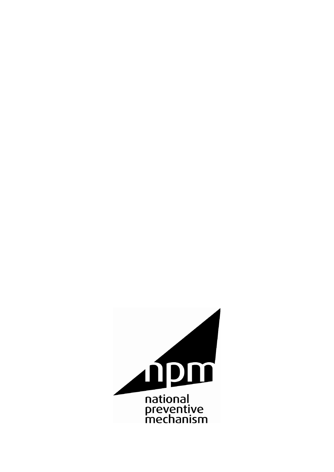